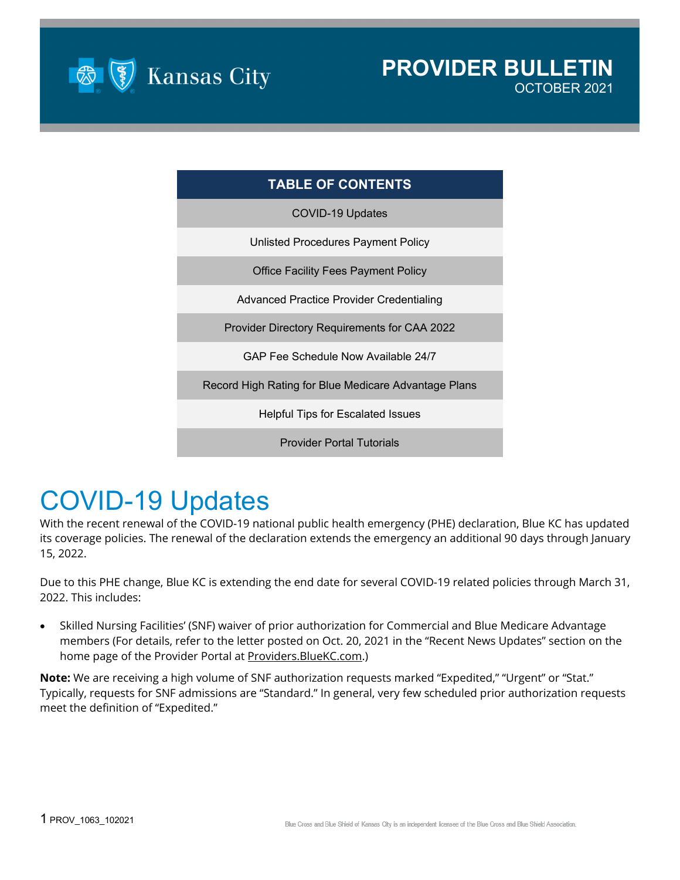

| <b>TABLE OF CONTENTS</b>                             |
|------------------------------------------------------|
| COVID-19 Updates                                     |
| Unlisted Procedures Payment Policy                   |
| Office Facility Fees Payment Policy                  |
| Advanced Practice Provider Credentialing             |
| <b>Provider Directory Requirements for CAA 2022</b>  |
| GAP Fee Schedule Now Available 24/7                  |
| Record High Rating for Blue Medicare Advantage Plans |
| Helpful Tips for Escalated Issues                    |
| <b>Provider Portal Tutorials</b>                     |

# COVID-19 Updates

With the recent renewal of the COVID-19 national public health emergency (PHE) declaration, Blue KC has updated its coverage policies. The renewal of the declaration extends the emergency an additional 90 days through January 15, 2022.

Due to this PHE change, Blue KC is extending the end date for several COVID-19 related policies through March 31, 2022. This includes:

• Skilled Nursing Facilities' (SNF) waiver of prior authorization for Commercial and Blue Medicare Advantage members (For details, refer to the letter posted on Oct. 20, 2021 in the "Recent News Updates" section on the home page of the Provider Portal at [Providers.BlueKC.com.](https://providers.bluekc.com/Home/ProviderHome))

**Note:** We are receiving a high volume of SNF authorization requests marked "Expedited," "Urgent" or "Stat." Typically, requests for SNF admissions are "Standard." In general, very few scheduled prior authorization requests meet the definition of "Expedited."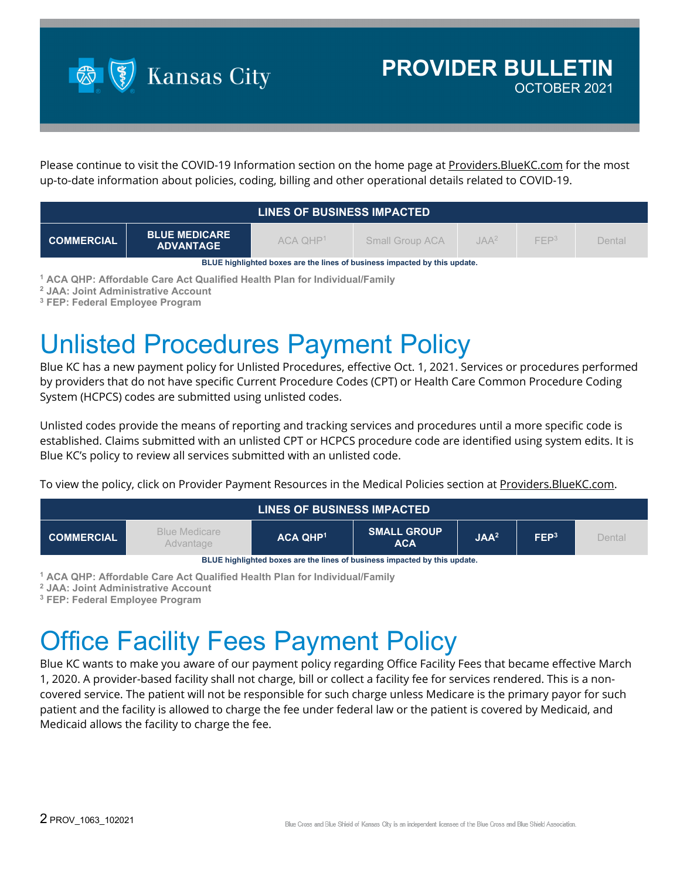

Please continue to visit the COVID-19 Information section on the home page at Providers. BlueKC.com for the most up-to-date information about policies, coding, billing and other operational details related to COVID-19.

| LINES OF BUSINESS IMPACTED                                                |                                          |              |                 |         |                  |        |  |
|---------------------------------------------------------------------------|------------------------------------------|--------------|-----------------|---------|------------------|--------|--|
| <b>COMMERCIAL</b>                                                         | <b>BLUE MEDICARE</b><br><b>ADVANTAGE</b> | $ACA$ $QHP1$ | Small Group ACA | $IAA^2$ | FFP <sup>3</sup> | Dental |  |
| BLUE highlighted boxes are the lines of business impacted by this update. |                                          |              |                 |         |                  |        |  |

**<sup>1</sup> ACA QHP: Affordable Care Act Qualified Health Plan for Individual/Family**

**<sup>2</sup> JAA: Joint Administrative Account**

**<sup>3</sup> FEP: Federal Employee Program**

# Unlisted Procedures Payment Policy

Blue KC has a new payment policy for Unlisted Procedures, effective Oct. 1, 2021. Services or procedures performed by providers that do not have specific Current Procedure Codes (CPT) or Health Care Common Procedure Coding System (HCPCS) codes are submitted using unlisted codes.

Unlisted codes provide the means of reporting and tracking services and procedures until a more specific code is established. Claims submitted with an unlisted CPT or HCPCS procedure code are identified using system edits. It is Blue KC's policy to review all services submitted with an unlisted code.

To view the policy, click on Provider Payment Resources in the Medical Policies section at [Providers.BlueKC.com.](https://providers.bluekc.com/ContactUs/PaymentPolicies)

| LINES OF BUSINESS IMPACTED                                                |                                          |                 |                                  |                  |                  |        |  |
|---------------------------------------------------------------------------|------------------------------------------|-----------------|----------------------------------|------------------|------------------|--------|--|
| <b>COMMERCIAL</b>                                                         | <b>Blue Medicare</b><br><b>Advantage</b> | <b>ACA QHP1</b> | <b>SMALL GROUP</b><br><b>ACA</b> | JAA <sup>2</sup> | FEP <sup>3</sup> | Dental |  |
| DHIE kinklinkted kavaa ara tka linea af kusinaan immaatad ku tkin umdata. |                                          |                 |                                  |                  |                  |        |  |

**BLUE highlighted boxes are the lines of business impacted by this update.**

**<sup>1</sup> ACA QHP: Affordable Care Act Qualified Health Plan for Individual/Family**

**<sup>2</sup> JAA: Joint Administrative Account**

**<sup>3</sup> FEP: Federal Employee Program**

# **Office Facility Fees Payment Policy**

Blue KC wants to make you aware of our payment policy regarding Office Facility Fees that became effective March 1, 2020. A provider-based facility shall not charge, bill or collect a facility fee for services rendered. This is a noncovered service. The patient will not be responsible for such charge unless Medicare is the primary payor for such patient and the facility is allowed to charge the fee under federal law or the patient is covered by Medicaid, and Medicaid allows the facility to charge the fee.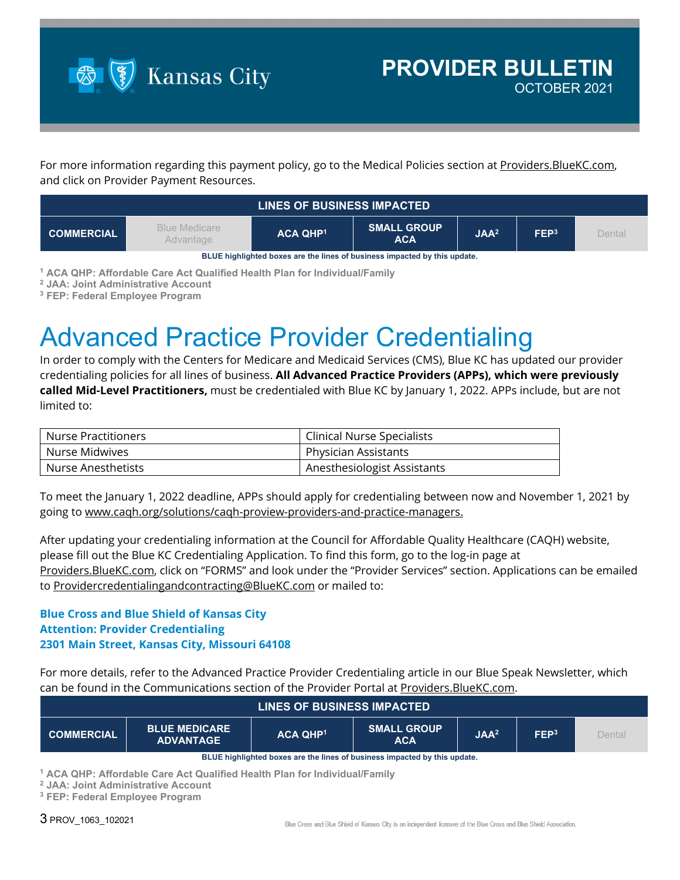

For more information regarding this payment policy, go to the Medical Policies section at Providers. BlueKC.com, and click on Provider Payment Resources.

| LINES OF BUSINESS IMPACTED                                                |                                   |                 |                                  |                  |                  |        |  |
|---------------------------------------------------------------------------|-----------------------------------|-----------------|----------------------------------|------------------|------------------|--------|--|
| <b>COMMERCIAL</b>                                                         | <b>Blue Medicare</b><br>Advantage | <b>ACA QHP1</b> | <b>SMALL GROUP</b><br><b>ACA</b> | JAA <sup>2</sup> | FEP <sup>3</sup> | Dental |  |
| BLUE highlighted boxes are the lines of business impacted by this update. |                                   |                 |                                  |                  |                  |        |  |

**<sup>1</sup> ACA QHP: Affordable Care Act Qualified Health Plan for Individual/Family**

**<sup>2</sup> JAA: Joint Administrative Account**

**<sup>3</sup> FEP: Federal Employee Program**

## Advanced Practice Provider Credentialing

In order to comply with the Centers for Medicare and Medicaid Services (CMS), Blue KC has updated our provider credentialing policies for all lines of business. **All Advanced Practice Providers (APPs), which were previously called Mid-Level Practitioners,** must be credentialed with Blue KC by January 1, 2022. APPs include, but are not limited to:

| Nurse Practitioners | <b>Clinical Nurse Specialists</b> |  |  |
|---------------------|-----------------------------------|--|--|
| Nurse Midwives      | <b>Physician Assistants</b>       |  |  |
| Nurse Anesthetists  | Anesthesiologist Assistants       |  |  |

To meet the January 1, 2022 deadline, APPs should apply for credentialing between now and November 1, 2021 by going to [www.caqh.org/solutions/caqh-proview-providers-and-practice-managers.](http://www.caqh.org/solutions/caqh-proview-providers-and-practice-managers)

After updating your credentialing information at the Council for Affordable Quality Healthcare (CAQH) website, please fill out the Blue KC Credentialing Application. To find this form, go to the log-in page at [Providers.BlueKC.com,](https://providers.bluekc.com/) click on "FORMS" and look under the "Provider Services" section. Applications can be emailed to [Providercredentialingandcontracting@BlueKC.com](mailto:Providercredentialingandcontracting@BlueKC.com) or mailed to:

#### **Blue Cross and Blue Shield of Kansas City Attention: Provider Credentialing 2301 Main Street, Kansas City, Missouri 64108**

For more details, refer to the Advanced Practice Provider Credentialing article in our Blue Speak Newsletter, which can be found in the Communications section of the Provider Portal a[t Providers.BlueKC.com.](https://providers.bluekc.com/Communications)

| <b>LINES OF BUSINESS IMPACTED</b>                                         |                                          |                 |                                  |                  |                  |        |  |  |
|---------------------------------------------------------------------------|------------------------------------------|-----------------|----------------------------------|------------------|------------------|--------|--|--|
| <b>COMMERCIAL</b>                                                         | <b>BLUE MEDICARE</b><br><b>ADVANTAGE</b> | <b>ACA QHP1</b> | <b>SMALL GROUP</b><br><b>ACA</b> | JAA <sup>2</sup> | FEP <sup>3</sup> | Dental |  |  |
| BLUE highlighted boxes are the lines of business impacted by this update. |                                          |                 |                                  |                  |                  |        |  |  |

**<sup>1</sup> ACA QHP: Affordable Care Act Qualified Health Plan for Individual/Family**

**<sup>2</sup> JAA: Joint Administrative Account**

**<sup>3</sup> FEP: Federal Employee Program**

3 PROV\_1063\_102021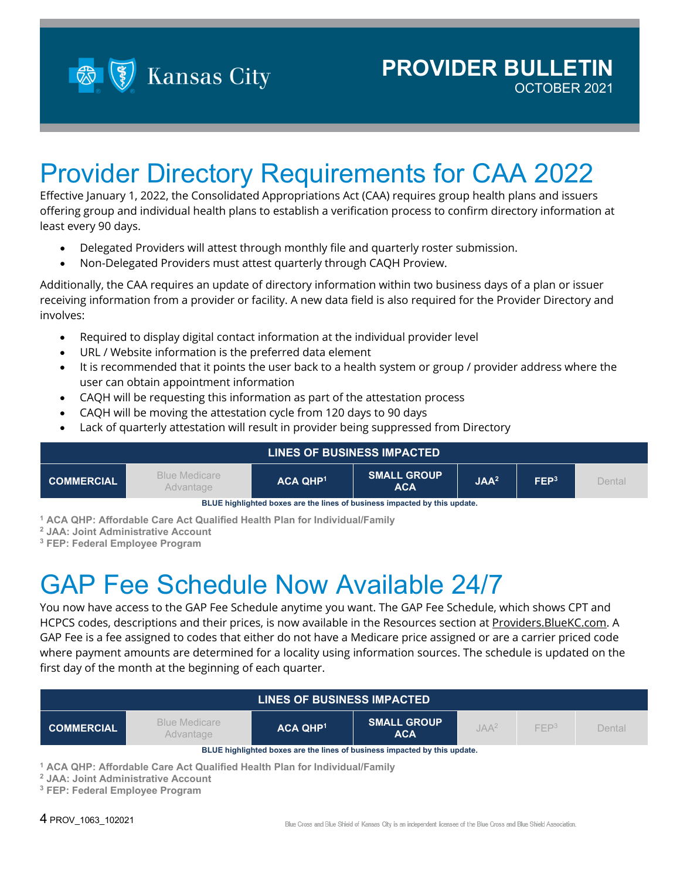**Kansas City** 

## Provider Directory Requirements for CAA 2022

Effective January 1, 2022, the Consolidated Appropriations Act (CAA) requires group health plans and issuers offering group and individual health plans to establish a verification process to confirm directory information at least every 90 days.

- Delegated Providers will attest through monthly file and quarterly roster submission.
- Non-Delegated Providers must attest quarterly through CAQH Proview.

Additionally, the CAA requires an update of directory information within two business days of a plan or issuer receiving information from a provider or facility. A new data field is also required for the Provider Directory and involves:

- Required to display digital contact information at the individual provider level
- URL / Website information is the preferred data element
- It is recommended that it points the user back to a health system or group / provider address where the user can obtain appointment information
- CAQH will be requesting this information as part of the attestation process
- CAQH will be moving the attestation cycle from 120 days to 90 days
- Lack of quarterly attestation will result in provider being suppressed from Directory

| <b>LINES OF BUSINESS IMPACTED</b>                                         |                                   |                      |                                  |                  |                  |        |  |  |
|---------------------------------------------------------------------------|-----------------------------------|----------------------|----------------------------------|------------------|------------------|--------|--|--|
| <b>COMMERCIAL</b>                                                         | <b>Blue Medicare</b><br>Advantage | ACA QHP <sup>1</sup> | <b>SMALL GROUP</b><br><b>ACA</b> | JAA <sup>2</sup> | FEP <sup>3</sup> | Dental |  |  |
| BLUE highlighted boxes are the lines of business impacted by this update. |                                   |                      |                                  |                  |                  |        |  |  |

**<sup>1</sup> ACA QHP: Affordable Care Act Qualified Health Plan for Individual/Family**

**<sup>2</sup> JAA: Joint Administrative Account**

**<sup>3</sup> FEP: Federal Employee Program**

#### GAP Fee Schedule Now Available 24/7

You now have access to the GAP Fee Schedule anytime you want. The GAP Fee Schedule, which shows CPT and HCPCS codes, descriptions and their prices, is now available in the Resources section at Providers. BlueKC.com. A GAP Fee is a fee assigned to codes that either do not have a Medicare price assigned or are a carrier priced code where payment amounts are determined for a locality using information sources. The schedule is updated on the first day of the month at the beginning of each quarter.

| <b>LINES OF BUSINESS IMPACTED</b>                                         |                                                                            |                 |                                  |         |                  |        |  |  |
|---------------------------------------------------------------------------|----------------------------------------------------------------------------|-----------------|----------------------------------|---------|------------------|--------|--|--|
| <b>COMMERCIAL</b>                                                         | <b>Blue Medicare</b><br>Advantage                                          | <b>ACA QHP1</b> | <b>SMALL GROUP</b><br><b>ACA</b> | $IAA^2$ | FFP <sup>3</sup> | Dental |  |  |
| BLUE highlighted boxes are the lines of business impacted by this update. |                                                                            |                 |                                  |         |                  |        |  |  |
|                                                                           | 1 ACA OHD: Affordable Care Act Qualified Health Plan for Individual/Family |                 |                                  |         |                  |        |  |  |

**<sup>1</sup> ACA QHP: Affordable Care Act Qualified Health Plan for Individual/Family**

**<sup>2</sup> JAA: Joint Administrative Account**

**<sup>3</sup> FEP: Federal Employee Program**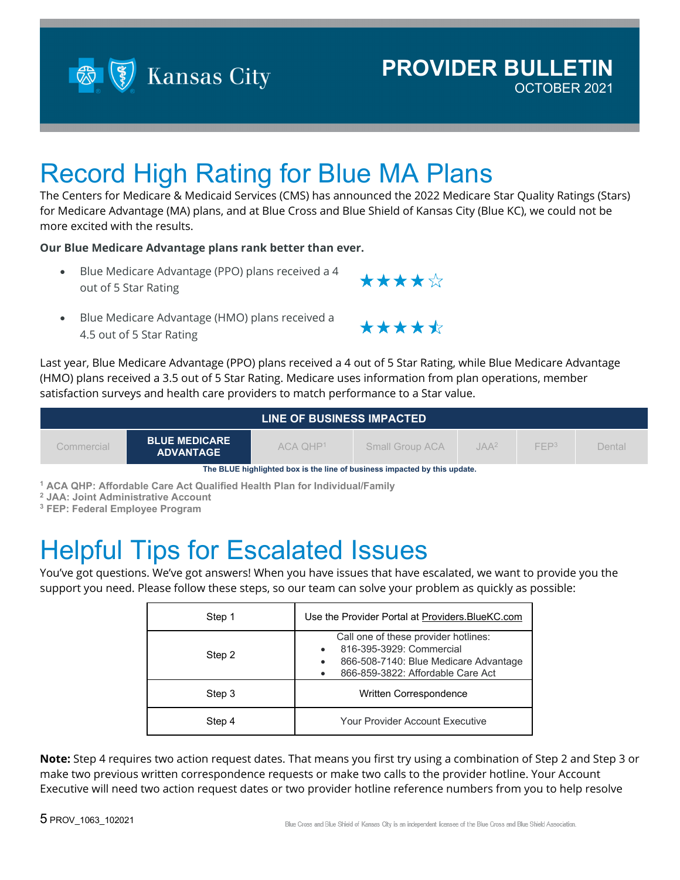

#### **PROVIDER BULLETIN** OCTOBER 2021

Record High Rating for Blue MA Plans

The Centers for Medicare & Medicaid Services (CMS) has announced the 2022 Medicare Star Quality Ratings (Stars) for Medicare Advantage (MA) plans, and at Blue Cross and Blue Shield of Kansas City (Blue KC), we could not be more excited with the results.

**Our Blue Medicare Advantage plans rank better than ever.**

- Blue Medicare Advantage (PPO) plans received a 4 out of 5 Star Rating
- Blue Medicare Advantage (HMO) plans received a 4.5 out of 5 Star Rating

Last year, Blue Medicare Advantage (PPO) plans received a 4 out of 5 Star Rating, while Blue Medicare Advantage (HMO) plans received a 3.5 out of 5 Star Rating. Medicare uses information from plan operations, member satisfaction surveys and health care providers to match performance to a Star value.

| LINE OF BUSINESS IMPACTED                                                 |                                          |              |                 |                  |                  |        |  |  |
|---------------------------------------------------------------------------|------------------------------------------|--------------|-----------------|------------------|------------------|--------|--|--|
| Commercial                                                                | <b>BLUE MEDICARE</b><br><b>ADVANTAGE</b> | $ACA$ $OHP1$ | Small Group ACA | JAA <sup>2</sup> | FFP <sup>3</sup> | Dental |  |  |
| The BLUE highlighted box is the line of business impacted by this update. |                                          |              |                 |                  |                  |        |  |  |

**<sup>1</sup> ACA QHP: Affordable Care Act Qualified Health Plan for Individual/Family**

**<sup>2</sup> JAA: Joint Administrative Account**

**<sup>3</sup> FEP: Federal Employee Program**

#### Helpful Tips for Escalated Issues

You've got questions. We've got answers! When you have issues that have escalated, we want to provide you the support you need. Please follow these steps, so our team can solve your problem as quickly as possible:

| Step 1 | Use the Provider Portal at Providers. BlueKC.com                                                                                               |
|--------|------------------------------------------------------------------------------------------------------------------------------------------------|
| Step 2 | Call one of these provider hotlines:<br>816-395-3929: Commercial<br>866-508-7140: Blue Medicare Advantage<br>866-859-3822: Affordable Care Act |
| Step 3 | Written Correspondence                                                                                                                         |
| Step 4 | <b>Your Provider Account Executive</b>                                                                                                         |

**Note:** Step 4 requires two action request dates. That means you first try using a combination of Step 2 and Step 3 or make two previous written correspondence requests or make two calls to the provider hotline. Your Account Executive will need two action request dates or two provider hotline reference numbers from you to help resolve



\*\*\*\*\*